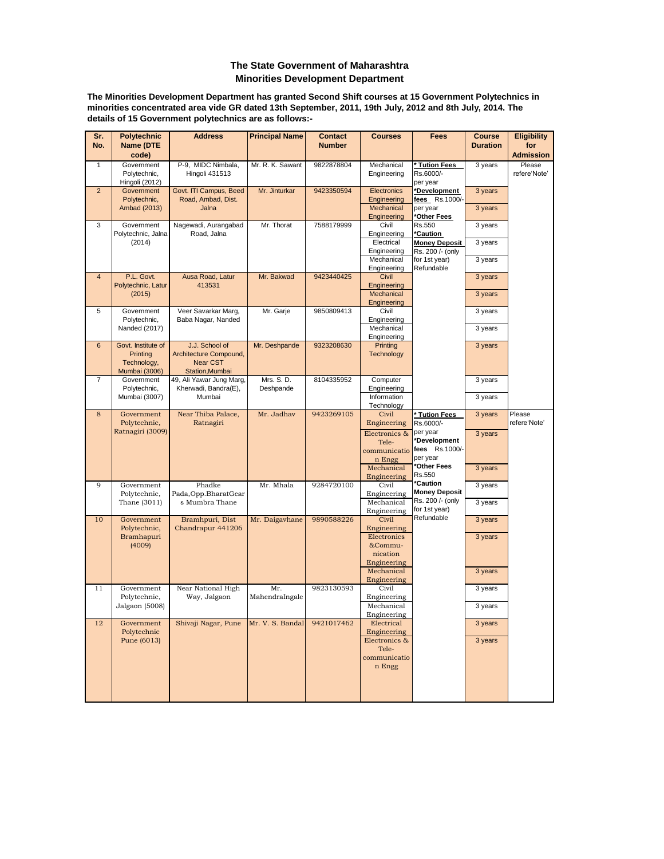## **Minorities Development Department The State Government of Maharashtra**

**The Minorities Development Department has granted Second Shift courses at 15 Government Polytechnics in minorities concentrated area vide GR dated 13th September, 2011, 19th July, 2012 and 8th July, 2014. The details of 15 Government polytechnics are as follows:-**

| Sr.<br>No.     | <b>Polytechnic</b><br><b>Name (DTE</b><br>code)              | <b>Address</b>                                                                | <b>Principal Name</b>   | <b>Contact</b><br><b>Number</b> | <b>Courses</b>                                            | <b>Fees</b>                                                             | <b>Course</b><br><b>Duration</b> | <b>Eligibility</b><br>for<br><b>Admission</b> |
|----------------|--------------------------------------------------------------|-------------------------------------------------------------------------------|-------------------------|---------------------------------|-----------------------------------------------------------|-------------------------------------------------------------------------|----------------------------------|-----------------------------------------------|
| 1              | Government<br>Polytechnic,<br>Hingoli (2012)                 | P-9, MIDC Nimbala,<br>Hingoli 431513                                          | Mr. R. K. Sawant        | 9822878804                      | Mechanical<br>Engineering                                 | Tution Fees<br>Rs.6000/-<br>per year                                    | 3 years                          | Please<br>refere'Note'                        |
| $\overline{2}$ | Government<br>Polytechnic,<br>Ambad (2013)                   | Govt. ITI Campus, Beed<br>Road, Ambad, Dist.<br>Jalna                         | Mr. Jinturkar           | 9423350594                      | Electronics<br>Engineering<br>Mechanical                  | *Development<br>fees Rs.1000/<br>per year                               | 3 years<br>3 years               |                                               |
| 3              | Government<br>Polytechnic, Jalna                             | Nagewadi, Aurangabad<br>Road, Jalna                                           | Mr. Thorat              | 7588179999                      | Engineering<br>Civil<br>Engineering                       | *Other Fees<br>Rs.550<br>'Caution                                       | 3 years                          |                                               |
|                | (2014)                                                       |                                                                               |                         |                                 | Electrical<br>Engineering<br>Mechanical<br>Engineering    | <b>Money Deposit</b><br>Rs. 200 /- (only<br>for 1st year)<br>Refundable | 3 years<br>3 years               |                                               |
| $\overline{4}$ | P.L. Govt.<br>Polytechnic, Latur<br>(2015)                   | Ausa Road, Latur<br>413531                                                    | Mr. Bakwad              | 9423440425                      | Civil<br>Engineering<br>Mechanical                        |                                                                         | 3 years<br>3 years               |                                               |
| 5              | Government<br>Polytechnic,<br>Nanded (2017)                  | Veer Savarkar Marg,<br>Baba Nagar, Nanded                                     | Mr. Garje               | 9850809413                      | Engineering<br>Civil<br>Engineering<br>Mechanical         |                                                                         | 3 years<br>3 years               |                                               |
| $6\phantom{1}$ | Govt. Institute of<br>Printing<br>Technology,                | J.J. School of<br>Architecture Compound,<br><b>Near CST</b>                   | Mr. Deshpande           | 9323208630                      | Engineering<br>Printing<br><b>Technology</b>              |                                                                         | 3 years                          |                                               |
| $\overline{7}$ | Mumbai (3006)<br>Government<br>Polytechnic,<br>Mumbai (3007) | Station, Mumbai<br>49, Ali Yawar Jung Marg,<br>Kherwadi, Bandra(E),<br>Mumbai | Mrs. S. D.<br>Deshpande | 8104335952                      | Computer<br>Engineering<br>Information                    |                                                                         | 3 years<br>3 years               |                                               |
| 8              | Government<br>Polytechnic,<br>Ratnagiri (3009)               | Near Thiba Palace,<br>Ratnagiri                                               | Mr. Jadhav              | 9423269105                      | Technology<br>Civil<br>Engineering<br>Electronics &       | Tution Fees<br>Rs.6000/-<br>per year                                    | 3 years<br>3 years               | Please<br>refere'Note'                        |
|                |                                                              |                                                                               |                         |                                 | Tele-<br>communicatio<br>n Engg<br>Mechanical             | *Development<br>fees Rs.1000/-<br>per year<br>*Other Fees               | 3 years                          |                                               |
| 9              | Government<br>Polytechnic,<br>Thane (3011)                   | Phadke<br>Pada, Opp. Bharat Gear<br>s Mumbra Thane                            | Mr. Mhala               | 9284720100                      | Engineering<br>Civil<br>Engineering<br>Mechanical         | Rs.550<br>*Caution<br><b>Money Deposit</b><br>Rs. 200 /- (only          | 3 years<br>3 years               |                                               |
| 10             | Government<br>Polytechnic,<br>Bramhapuri                     | Bramhpuri, Dist<br>Chandrapur 441206                                          | Mr. Daigavhane          | 9890588226                      | Engineering<br><b>Civil</b><br>Engineering<br>Electronics | for 1st year)<br>Refundable                                             | 3 years<br>3 years               |                                               |
|                | (4009)                                                       |                                                                               |                         |                                 | &Commu-<br>nication<br>Engineering                        |                                                                         |                                  |                                               |
| 11             | Government                                                   | Near National High                                                            | Mr.                     | 9823130593                      | Mechanical<br>Engineering<br>Civil                        |                                                                         | 3 years<br>3 years               |                                               |
|                | Polytechnic,<br>Jalgaon (5008)                               | Way, Jalgaon                                                                  | MahendraIngale          |                                 | Engineering<br>Mechanical<br>Engineering                  |                                                                         | 3 years                          |                                               |
| 12             | Government<br>Polytechnic                                    | Shivaji Nagar, Pune                                                           | Mr. V. S. Bandal        | 9421017462                      | Electrical<br>Engineering                                 |                                                                         | 3 years                          |                                               |
|                | Pune (6013)                                                  |                                                                               |                         |                                 | Electronics &<br>Tele-<br>communicatio<br>n Engg          |                                                                         | 3 years                          |                                               |